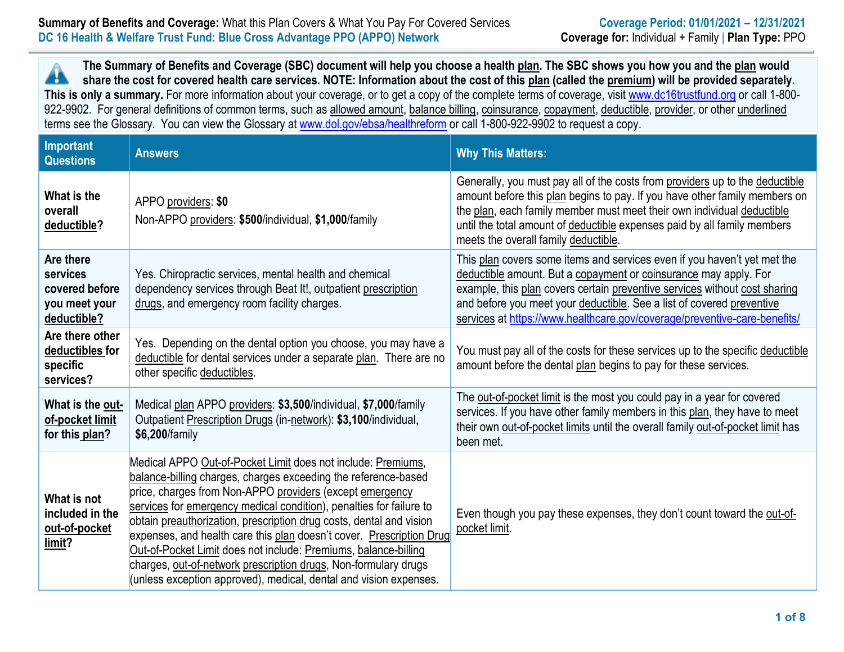### **Summary of Benefits and Coverage:** What this Plan Covers & What You Pay For Covered Services **Coverage Period: 01/01/2021** – 12/31/2021 **DC 16 Health & Welfare Trust Fund: Blue Cross Advantage PPO (APPO) Network Coverage for:** Individual + Family | **Plan Type:** PPO

**The Summary of Benefits and Coverage (SBC) document will help you choose a health plan. The SBC shows you how you and the plan would**  Â **share the cost for covered health care services. NOTE: Information about the cost of this plan (called the premium) will be provided separately.**  This is only a summary. For more information about your coverage, or to get a copy of the complete terms of coverage, visit www.dc16trustfund.org or call 1-800-922-9902. For general definitions of common terms, such as allowed amount, balance billing, coinsurance, copayment, deductible, provider, or other underlined terms see the Glossary. You can view the Glossary at www.dol.gov/ebsa/healthreform or call 1-800-922-9902 to request a copy.

| Important<br><b>Questions</b>                                           | <b>Answers</b>                                                                                                                                                                                                                                                                                                                                                                                                                                                                                                                                                                                                              | <b>Why This Matters:</b>                                                                                                                                                                                                                                                                                                                                                         |
|-------------------------------------------------------------------------|-----------------------------------------------------------------------------------------------------------------------------------------------------------------------------------------------------------------------------------------------------------------------------------------------------------------------------------------------------------------------------------------------------------------------------------------------------------------------------------------------------------------------------------------------------------------------------------------------------------------------------|----------------------------------------------------------------------------------------------------------------------------------------------------------------------------------------------------------------------------------------------------------------------------------------------------------------------------------------------------------------------------------|
| What is the<br>overall<br>deductible?                                   | APPO providers: \$0<br>Non-APPO providers: \$500/individual, \$1,000/family                                                                                                                                                                                                                                                                                                                                                                                                                                                                                                                                                 | Generally, you must pay all of the costs from providers up to the deductible<br>amount before this plan begins to pay. If you have other family members on<br>the plan, each family member must meet their own individual deductible<br>until the total amount of deductible expenses paid by all family members<br>meets the overall family deductible.                         |
| Are there<br>services<br>covered before<br>you meet your<br>deductible? | Yes. Chiropractic services, mental health and chemical<br>dependency services through Beat It!, outpatient prescription<br>drugs, and emergency room facility charges.                                                                                                                                                                                                                                                                                                                                                                                                                                                      | This plan covers some items and services even if you haven't yet met the<br>deductible amount. But a copayment or coinsurance may apply. For<br>example, this plan covers certain preventive services without cost sharing<br>and before you meet your deductible. See a list of covered preventive<br>services at https://www.healthcare.gov/coverage/preventive-care-benefits/ |
| Are there other<br>deductibles for<br>specific<br>services?             | Yes. Depending on the dental option you choose, you may have a<br>deductible for dental services under a separate plan. There are no<br>other specific deductibles.                                                                                                                                                                                                                                                                                                                                                                                                                                                         | You must pay all of the costs for these services up to the specific deductible<br>amount before the dental plan begins to pay for these services.                                                                                                                                                                                                                                |
| What is the out-<br>of-pocket limit<br>for this plan?                   | Medical plan APPO providers: \$3,500/individual, \$7,000/family<br>Outpatient Prescription Drugs (in-network): \$3,100/individual,<br>\$6,200/family                                                                                                                                                                                                                                                                                                                                                                                                                                                                        | The out-of-pocket limit is the most you could pay in a year for covered<br>services. If you have other family members in this plan, they have to meet<br>their own out-of-pocket limits until the overall family out-of-pocket limit has<br>been met.                                                                                                                            |
| What is not<br>included in the<br>out-of-pocket<br>limit?               | Medical APPO Out-of-Pocket Limit does not include: Premiums,<br>balance-billing charges, charges exceeding the reference-based<br>price, charges from Non-APPO providers (except emergency<br>services for emergency medical condition), penalties for failure to<br>obtain preauthorization, prescription drug costs, dental and vision<br>expenses, and health care this plan doesn't cover. Prescription Drug<br>Out-of-Pocket Limit does not include: Premiums, balance-billing<br>charges, out-of-network prescription drugs, Non-formulary drugs<br>(unless exception approved), medical, dental and vision expenses. | Even though you pay these expenses, they don't count toward the out-of-<br>pocket limit.                                                                                                                                                                                                                                                                                         |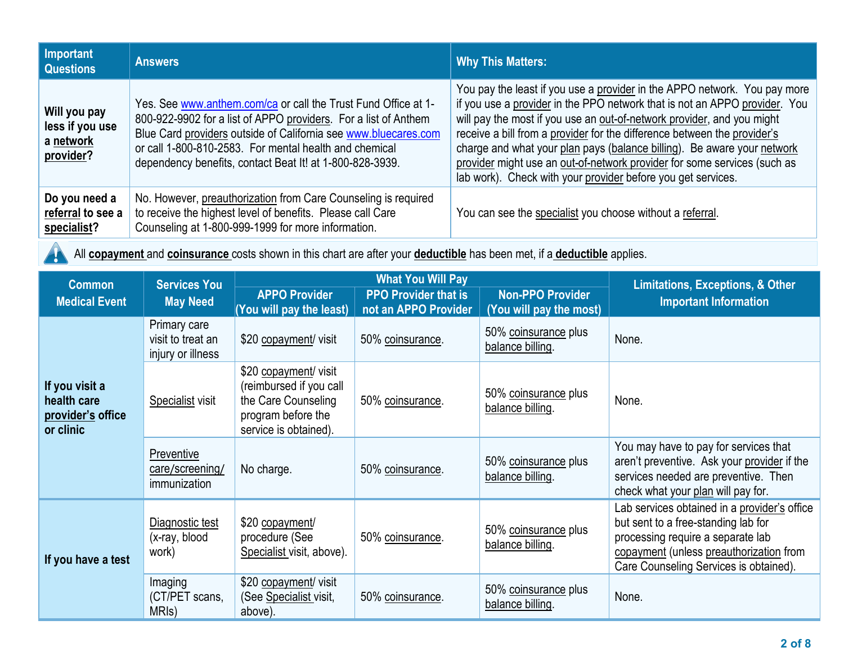| Important<br><b>Questions</b>                             | <b>Answers</b>                                                                                                                                                                                                                                                                                                             | <b>Why This Matters:</b>                                                                                                                                                                                                                                                                                                                                                                                                                                                                                                             |
|-----------------------------------------------------------|----------------------------------------------------------------------------------------------------------------------------------------------------------------------------------------------------------------------------------------------------------------------------------------------------------------------------|--------------------------------------------------------------------------------------------------------------------------------------------------------------------------------------------------------------------------------------------------------------------------------------------------------------------------------------------------------------------------------------------------------------------------------------------------------------------------------------------------------------------------------------|
| Will you pay<br>less if you use<br>a network<br>provider? | Yes. See www.anthem.com/ca or call the Trust Fund Office at 1-<br>800-922-9902 for a list of APPO providers. For a list of Anthem<br>Blue Card providers outside of California see www.bluecares.com<br>or call 1-800-810-2583. For mental health and chemical<br>dependency benefits, contact Beat It! at 1-800-828-3939. | You pay the least if you use a provider in the APPO network. You pay more<br>if you use a provider in the PPO network that is not an APPO provider. You<br>will pay the most if you use an out-of-network provider, and you might<br>receive a bill from a provider for the difference between the provider's<br>charge and what your plan pays (balance billing). Be aware your network<br>provider might use an out-of-network provider for some services (such as<br>lab work). Check with your provider before you get services. |
| Do you need a<br>referral to see a<br>specialist?         | No. However, preauthorization from Care Counseling is required<br>to receive the highest level of benefits. Please call Care<br>Counseling at 1-800-999-1999 for more information.                                                                                                                                         | You can see the specialist you choose without a referral.                                                                                                                                                                                                                                                                                                                                                                                                                                                                            |

All **copayment** and **coinsurance** costs shown in this chart are after your **deductible** has been met, if a **deductible** applies.

 $\blacktriangle$ 

| <b>Common</b>                                                   | <b>Services You</b><br>May Need                        |                                                                                                                        | <b>What You Will Pay</b>                            | <b>Limitations, Exceptions, &amp; Other</b>        |                                                                                                                                                                                                               |
|-----------------------------------------------------------------|--------------------------------------------------------|------------------------------------------------------------------------------------------------------------------------|-----------------------------------------------------|----------------------------------------------------|---------------------------------------------------------------------------------------------------------------------------------------------------------------------------------------------------------------|
| <b>Medical Event</b>                                            |                                                        | <b>APPO Provider</b><br>(You will pay the least)                                                                       | <b>PPO Provider that is</b><br>not an APPO Provider | <b>Non-PPO Provider</b><br>(You will pay the most) | <b>Important Information</b>                                                                                                                                                                                  |
| If you visit a<br>health care<br>provider's office<br>or clinic | Primary care<br>visit to treat an<br>injury or illness | \$20 copayment/ visit                                                                                                  | 50% coinsurance.                                    | 50% coinsurance plus<br>balance billing.           | None.                                                                                                                                                                                                         |
|                                                                 | Specialist visit                                       | \$20 copayment/ visit<br>(reimbursed if you call<br>the Care Counseling<br>program before the<br>service is obtained). | 50% coinsurance.                                    | 50% coinsurance plus<br>balance billing.           | None.                                                                                                                                                                                                         |
|                                                                 | Preventive<br>care/screening/<br>immunization          | No charge.                                                                                                             | 50% coinsurance.                                    | 50% coinsurance plus<br>balance billing.           | You may have to pay for services that<br>aren't preventive. Ask your provider if the<br>services needed are preventive. Then<br>check what your plan will pay for.                                            |
| If you have a test                                              | Diagnostic test<br>(x-ray, blood<br>work)              | \$20 copayment/<br>procedure (See<br>Specialist visit, above).                                                         | 50% coinsurance.                                    | 50% coinsurance plus<br>balance billing.           | Lab services obtained in a provider's office<br>but sent to a free-standing lab for<br>processing require a separate lab<br>copayment (unless preauthorization from<br>Care Counseling Services is obtained). |
|                                                                 | Imaging<br>(CT/PET scans,<br>MRI <sub>s</sub> )        | \$20 copayment/ visit<br>(See Specialist visit,<br>above).                                                             | 50% coinsurance.                                    | 50% coinsurance plus<br>balance billing.           | None.                                                                                                                                                                                                         |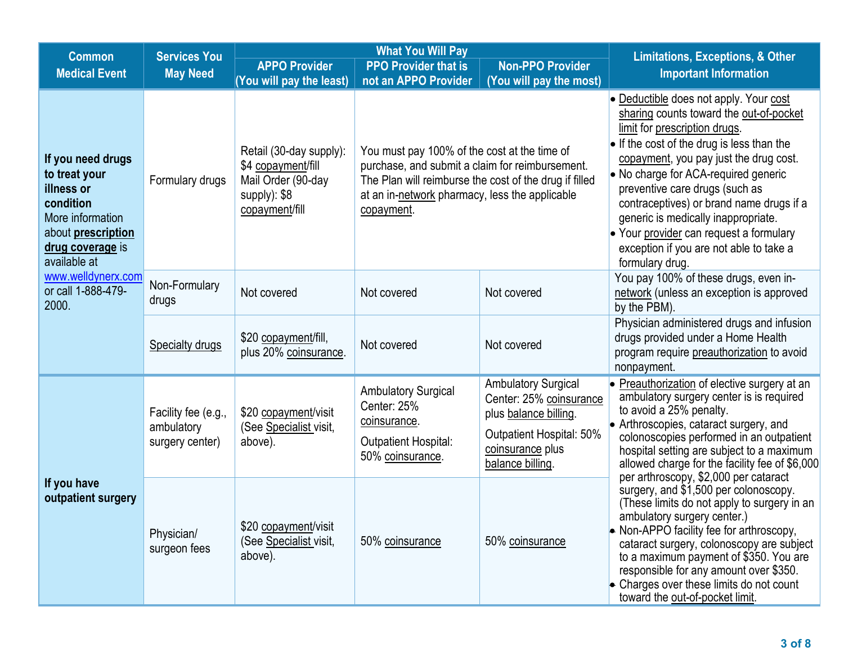| <b>Services You</b><br><b>Common</b>                                                                                                               |                                                      |                                                                                                       | <b>What You Will Pay</b>                                                                                                                                                                                                  | <b>Limitations, Exceptions, &amp; Other</b>                                                                                                        |                                                                                                                                                                                                                                                                                                                                                                                                                                                                                  |
|----------------------------------------------------------------------------------------------------------------------------------------------------|------------------------------------------------------|-------------------------------------------------------------------------------------------------------|---------------------------------------------------------------------------------------------------------------------------------------------------------------------------------------------------------------------------|----------------------------------------------------------------------------------------------------------------------------------------------------|----------------------------------------------------------------------------------------------------------------------------------------------------------------------------------------------------------------------------------------------------------------------------------------------------------------------------------------------------------------------------------------------------------------------------------------------------------------------------------|
| <b>Medical Event</b>                                                                                                                               | <b>May Need</b>                                      | <b>APPO Provider</b>                                                                                  | <b>PPO Provider that is</b>                                                                                                                                                                                               | <b>Non-PPO Provider</b>                                                                                                                            | <b>Important Information</b>                                                                                                                                                                                                                                                                                                                                                                                                                                                     |
|                                                                                                                                                    |                                                      | (You will pay the least)                                                                              | not an APPO Provider                                                                                                                                                                                                      | (You will pay the most)                                                                                                                            |                                                                                                                                                                                                                                                                                                                                                                                                                                                                                  |
| If you need drugs<br>to treat your<br>illness or<br>condition<br>More information<br>about <b>prescription</b><br>drug coverage is<br>available at | Formulary drugs                                      | Retail (30-day supply):<br>\$4 copayment/fill<br>Mail Order (90-day<br>supply): \$8<br>copayment/fill | You must pay 100% of the cost at the time of<br>purchase, and submit a claim for reimbursement.<br>The Plan will reimburse the cost of the drug if filled<br>at an in-network pharmacy, less the applicable<br>copayment. |                                                                                                                                                    | • Deductible does not apply. Your cost<br>sharing counts toward the out-of-pocket<br>limit for prescription drugs.<br>• If the cost of the drug is less than the<br>copayment, you pay just the drug cost.<br>• No charge for ACA-required generic<br>preventive care drugs (such as<br>contraceptives) or brand name drugs if a<br>generic is medically inappropriate.<br>• Your provider can request a formulary<br>exception if you are not able to take a<br>formulary drug. |
| www.welldynerx.com<br>or call 1-888-479-<br>2000.                                                                                                  | Non-Formulary<br>drugs                               | Not covered                                                                                           | Not covered                                                                                                                                                                                                               | Not covered                                                                                                                                        | You pay 100% of these drugs, even in-<br>network (unless an exception is approved<br>by the PBM).                                                                                                                                                                                                                                                                                                                                                                                |
|                                                                                                                                                    | Specialty drugs                                      | \$20 copayment/fill,<br>plus 20% coinsurance.                                                         | Not covered                                                                                                                                                                                                               | Not covered                                                                                                                                        | Physician administered drugs and infusion<br>drugs provided under a Home Health<br>program require preauthorization to avoid<br>nonpayment.                                                                                                                                                                                                                                                                                                                                      |
|                                                                                                                                                    | Facility fee (e.g.,<br>ambulatory<br>surgery center) | \$20 copayment/visit<br>(See Specialist visit,<br>above).                                             | <b>Ambulatory Surgical</b><br>Center: 25%<br>coinsurance.<br><b>Outpatient Hospital:</b><br>50% coinsurance.                                                                                                              | <b>Ambulatory Surgical</b><br>Center: 25% coinsurance<br>plus balance billing.<br>Outpatient Hospital: 50%<br>coinsurance plus<br>balance billing. | • Preauthorization of elective surgery at an<br>ambulatory surgery center is is required<br>to avoid a 25% penalty.<br>• Arthroscopies, cataract surgery, and<br>colonoscopies performed in an outpatient<br>hospital setting are subject to a maximum<br>allowed charge for the facility fee of \$6,000<br>per arthroscopy, \$2,000 per cataract                                                                                                                                |
| If you have<br>outpatient surgery                                                                                                                  | Physician/<br>surgeon fees                           | \$20 copayment/visit<br>(See Specialist visit,<br>above).                                             | 50% coinsurance                                                                                                                                                                                                           | 50% coinsurance                                                                                                                                    | surgery, and \$1,500 per colonoscopy.<br>(These limits do not apply to surgery in an<br>ambulatory surgery center.)<br>• Non-APPO facility fee for arthroscopy,<br>cataract surgery, colonoscopy are subject<br>to a maximum payment of \$350. You are<br>responsible for any amount over \$350.<br>$\bullet$ Charges over these limits do not count<br>toward the out-of-pocket limit.                                                                                          |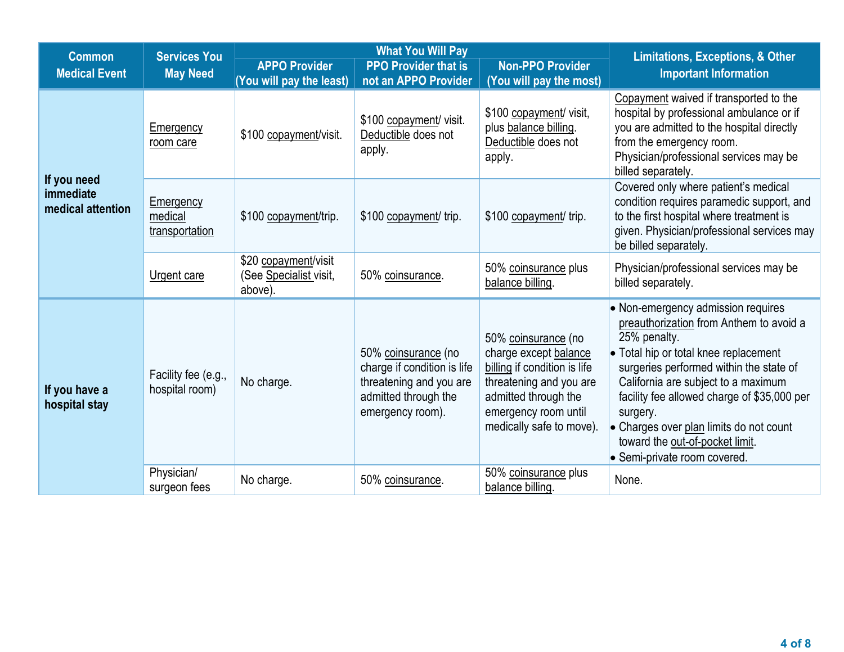| <b>What You Will Pay</b><br><b>Services You</b><br><b>Common</b> |                                        | <b>Limitations, Exceptions, &amp; Other</b>               |                                                                                                                           |                                                                                                                                                                                     |                                                                                                                                                                                                                                                                                                                                                                                                   |
|------------------------------------------------------------------|----------------------------------------|-----------------------------------------------------------|---------------------------------------------------------------------------------------------------------------------------|-------------------------------------------------------------------------------------------------------------------------------------------------------------------------------------|---------------------------------------------------------------------------------------------------------------------------------------------------------------------------------------------------------------------------------------------------------------------------------------------------------------------------------------------------------------------------------------------------|
| <b>Medical Event</b>                                             | <b>May Need</b>                        | <b>APPO Provider</b>                                      | <b>PPO Provider that is</b>                                                                                               | <b>Non-PPO Provider</b>                                                                                                                                                             | <b>Important Information</b>                                                                                                                                                                                                                                                                                                                                                                      |
|                                                                  |                                        | (You will pay the least)                                  | not an APPO Provider                                                                                                      | (You will pay the most)                                                                                                                                                             |                                                                                                                                                                                                                                                                                                                                                                                                   |
|                                                                  | Emergency<br>room care                 | \$100 copayment/visit.                                    | \$100 copayment/ visit.<br>Deductible does not<br>apply.                                                                  | \$100 copayment/ visit,<br>plus balance billing.<br>Deductible does not<br>apply.                                                                                                   | Copayment waived if transported to the<br>hospital by professional ambulance or if<br>you are admitted to the hospital directly<br>from the emergency room.<br>Physician/professional services may be<br>billed separately.                                                                                                                                                                       |
| If you need<br>immediate<br>medical attention                    | Emergency<br>medical<br>transportation | \$100 copayment/trip.                                     | \$100 copayment/ trip.                                                                                                    | \$100 copayment/ trip.                                                                                                                                                              | Covered only where patient's medical<br>condition requires paramedic support, and<br>to the first hospital where treatment is<br>given. Physician/professional services may<br>be billed separately.                                                                                                                                                                                              |
|                                                                  | <b>Urgent care</b>                     | \$20 copayment/visit<br>(See Specialist visit,<br>above). | 50% coinsurance.                                                                                                          | 50% coinsurance plus<br>balance billing.                                                                                                                                            | Physician/professional services may be<br>billed separately.                                                                                                                                                                                                                                                                                                                                      |
| If you have a<br>hospital stay                                   | Facility fee (e.g.,<br>hospital room)  | No charge.                                                | 50% coinsurance (no<br>charge if condition is life<br>threatening and you are<br>admitted through the<br>emergency room). | 50% coinsurance (no<br>charge except balance<br>billing if condition is life<br>threatening and you are<br>admitted through the<br>emergency room until<br>medically safe to move). | • Non-emergency admission requires<br>preauthorization from Anthem to avoid a<br>25% penalty.<br>• Total hip or total knee replacement<br>surgeries performed within the state of<br>California are subject to a maximum<br>facility fee allowed charge of \$35,000 per<br>surgery.<br>• Charges over plan limits do not count<br>toward the out-of-pocket limit.<br>• Semi-private room covered. |
|                                                                  | Physician/<br>surgeon fees             | No charge.                                                | 50% coinsurance.                                                                                                          | 50% coinsurance plus<br>balance billing.                                                                                                                                            | None.                                                                                                                                                                                                                                                                                                                                                                                             |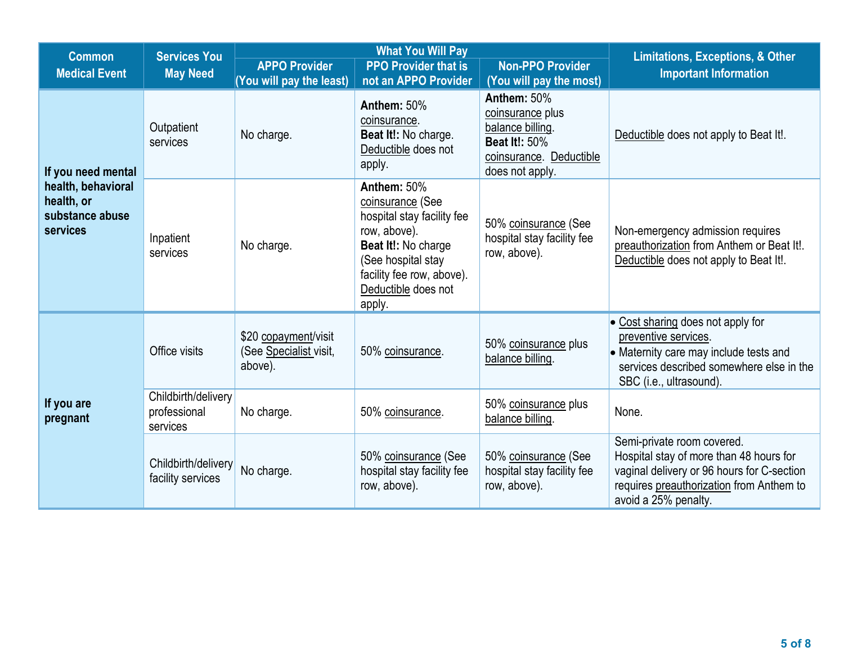|                                                                 | <b>What You Will Pay</b><br><b>Services You</b><br><b>Common</b> |                                                           |                                                                                                                                                                                          |                                                                                                                           | <b>Limitations, Exceptions, &amp; Other</b>                                                                                                                                             |  |  |
|-----------------------------------------------------------------|------------------------------------------------------------------|-----------------------------------------------------------|------------------------------------------------------------------------------------------------------------------------------------------------------------------------------------------|---------------------------------------------------------------------------------------------------------------------------|-----------------------------------------------------------------------------------------------------------------------------------------------------------------------------------------|--|--|
| <b>Medical Event</b>                                            | <b>May Need</b>                                                  | <b>APPO Provider</b>                                      | <b>PPO Provider that is</b>                                                                                                                                                              | <b>Non-PPO Provider</b>                                                                                                   | <b>Important Information</b>                                                                                                                                                            |  |  |
|                                                                 |                                                                  | (You will pay the least)                                  | not an APPO Provider                                                                                                                                                                     | (You will pay the most)                                                                                                   |                                                                                                                                                                                         |  |  |
| If you need mental                                              | Outpatient<br>services                                           | No charge.                                                | Anthem: 50%<br>coinsurance.<br>Beat It!: No charge.<br>Deductible does not<br>apply.                                                                                                     | Anthem: 50%<br>coinsurance plus<br>balance billing.<br><b>Beat It!: 50%</b><br>coinsurance. Deductible<br>does not apply. | Deductible does not apply to Beat It!.                                                                                                                                                  |  |  |
| health, behavioral<br>health, or<br>substance abuse<br>services | Inpatient<br>services                                            | No charge.                                                | Anthem: 50%<br>coinsurance (See<br>hospital stay facility fee<br>row, above).<br>Beat It!: No charge<br>(See hospital stay<br>facility fee row, above).<br>Deductible does not<br>apply. | 50% coinsurance (See<br>hospital stay facility fee<br>row, above).                                                        | Non-emergency admission requires<br>preauthorization from Anthem or Beat It!.<br>Deductible does not apply to Beat It!.                                                                 |  |  |
|                                                                 | Office visits                                                    | \$20 copayment/visit<br>(See Specialist visit,<br>above). | 50% coinsurance.                                                                                                                                                                         | 50% coinsurance plus<br>balance billing.                                                                                  | • Cost sharing does not apply for<br>preventive services.<br>• Maternity care may include tests and<br>services described somewhere else in the<br>SBC (i.e., ultrasound).              |  |  |
| If you are<br>pregnant                                          | Childbirth/delivery<br>professional<br>services                  | No charge.                                                | 50% coinsurance.                                                                                                                                                                         | 50% coinsurance plus<br>balance billing.                                                                                  | None.                                                                                                                                                                                   |  |  |
|                                                                 | Childbirth/delivery<br>facility services                         | No charge.                                                | 50% coinsurance (See<br>hospital stay facility fee<br>row, above).                                                                                                                       | 50% coinsurance (See<br>hospital stay facility fee<br>row, above).                                                        | Semi-private room covered.<br>Hospital stay of more than 48 hours for<br>vaginal delivery or 96 hours for C-section<br>requires preauthorization from Anthem to<br>avoid a 25% penalty. |  |  |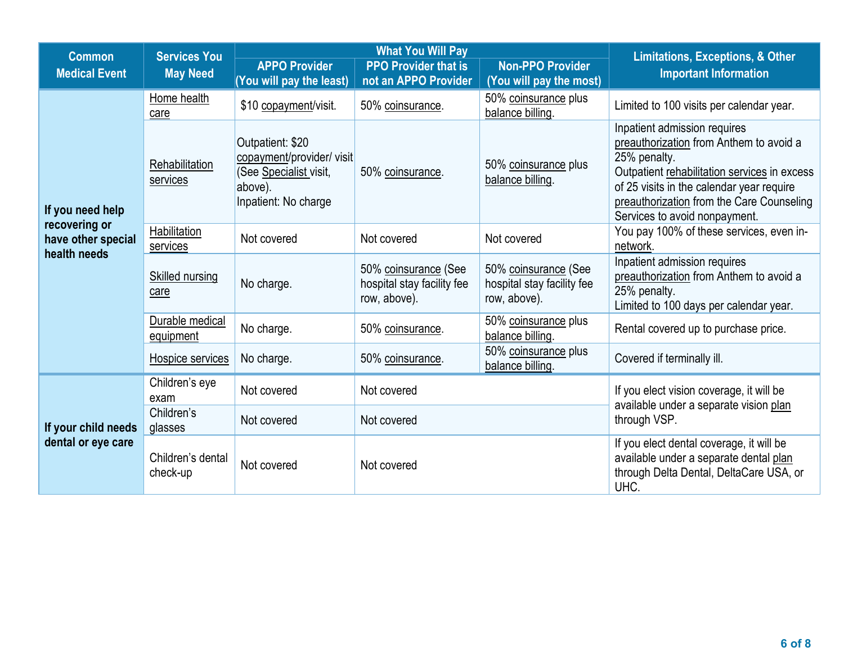| <b>What You Will Pay</b><br><b>Services You</b><br><b>Common</b> |                                                               |                                                                                                            |                                                                    | <b>Limitations, Exceptions, &amp; Other</b>                        |                                                                                                                                                                                                                                                                    |
|------------------------------------------------------------------|---------------------------------------------------------------|------------------------------------------------------------------------------------------------------------|--------------------------------------------------------------------|--------------------------------------------------------------------|--------------------------------------------------------------------------------------------------------------------------------------------------------------------------------------------------------------------------------------------------------------------|
| <b>Medical Event</b>                                             | <b>May Need</b>                                               | <b>APPO Provider</b>                                                                                       | <b>PPO Provider that is</b>                                        | <b>Non-PPO Provider</b>                                            | <b>Important Information</b>                                                                                                                                                                                                                                       |
|                                                                  |                                                               | (You will pay the least)                                                                                   | not an APPO Provider                                               | (You will pay the most)                                            |                                                                                                                                                                                                                                                                    |
|                                                                  | Home health<br>care                                           | \$10 copayment/visit.                                                                                      | 50% coinsurance.                                                   | 50% coinsurance plus<br>balance billing.                           | Limited to 100 visits per calendar year.                                                                                                                                                                                                                           |
| If you need help                                                 | Rehabilitation<br>services                                    | Outpatient: \$20<br>copayment/provider/ visit<br>(See Specialist visit,<br>above).<br>Inpatient: No charge | 50% coinsurance.                                                   | 50% coinsurance plus<br>balance billing.                           | Inpatient admission requires<br>preauthorization from Anthem to avoid a<br>25% penalty.<br>Outpatient rehabilitation services in excess<br>of 25 visits in the calendar year require<br>preauthorization from the Care Counseling<br>Services to avoid nonpayment. |
| recovering or<br>have other special<br>health needs              | <b>Habilitation</b><br>Not covered<br>Not covered<br>services |                                                                                                            | Not covered                                                        | You pay 100% of these services, even in-<br>network.               |                                                                                                                                                                                                                                                                    |
|                                                                  | <b>Skilled nursing</b><br>care                                | No charge.                                                                                                 | 50% coinsurance (See<br>hospital stay facility fee<br>row, above). | 50% coinsurance (See<br>hospital stay facility fee<br>row, above). | Inpatient admission requires<br>preauthorization from Anthem to avoid a<br>25% penalty.<br>Limited to 100 days per calendar year.                                                                                                                                  |
|                                                                  | Durable medical<br>equipment                                  | No charge.                                                                                                 | 50% coinsurance.                                                   | 50% coinsurance plus<br>balance billing.                           | Rental covered up to purchase price.                                                                                                                                                                                                                               |
|                                                                  | Hospice services                                              | No charge.                                                                                                 | 50% coinsurance.                                                   | 50% coinsurance plus<br>balance billing.                           | Covered if terminally ill.                                                                                                                                                                                                                                         |
|                                                                  | Children's eye<br>exam                                        | Not covered                                                                                                | Not covered                                                        |                                                                    | If you elect vision coverage, it will be<br>available under a separate vision plan                                                                                                                                                                                 |
| If your child needs                                              | Children's<br>glasses                                         | Not covered                                                                                                | Not covered                                                        |                                                                    | through VSP.                                                                                                                                                                                                                                                       |
| dental or eye care                                               | Children's dental<br>check-up                                 | Not covered                                                                                                | Not covered                                                        |                                                                    | If you elect dental coverage, it will be<br>available under a separate dental plan<br>through Delta Dental, DeltaCare USA, or<br>UHC.                                                                                                                              |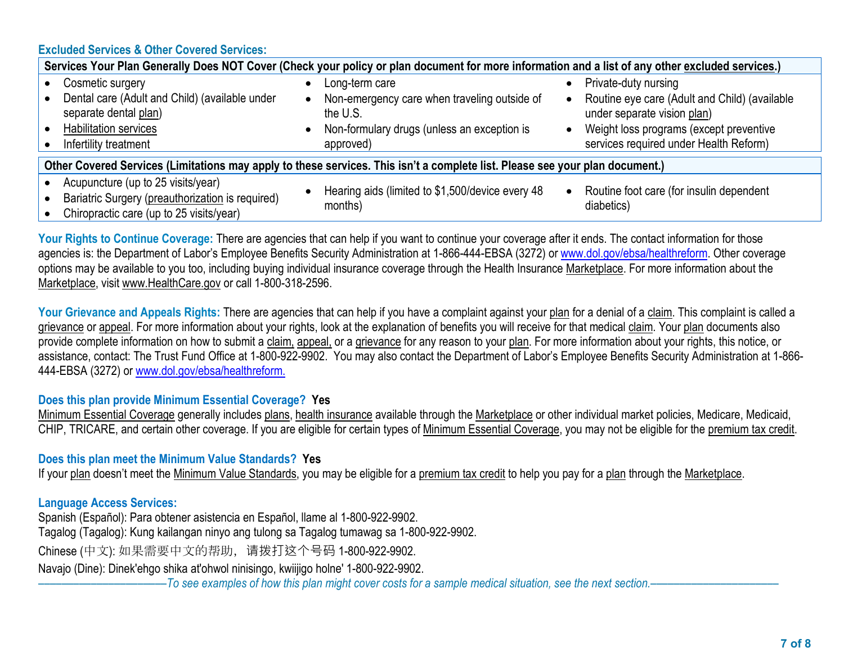### **Excluded Services & Other Covered Services:**

| Services Your Plan Generally Does NOT Cover (Check your policy or plan document for more information and a list of any other excluded services.)     |                                                                                                                                        |                                                                                                                                                                                           |  |  |  |  |
|------------------------------------------------------------------------------------------------------------------------------------------------------|----------------------------------------------------------------------------------------------------------------------------------------|-------------------------------------------------------------------------------------------------------------------------------------------------------------------------------------------|--|--|--|--|
| Cosmetic surgery<br>Dental care (Adult and Child) (available under<br>separate dental plan)<br><b>Habilitation services</b><br>Infertility treatment | Long-term care<br>Non-emergency care when traveling outside of<br>the U.S.<br>Non-formulary drugs (unless an exception is<br>approved) | Private-duty nursing<br>Routine eye care (Adult and Child) (available<br>under separate vision plan)<br>Weight loss programs (except preventive<br>services required under Health Reform) |  |  |  |  |
| Other Covered Services (Limitations may apply to these services. This isn't a complete list. Please see your plan document.)                         |                                                                                                                                        |                                                                                                                                                                                           |  |  |  |  |
| Acupuncture (up to 25 visits/year)<br>Bariatric Surgery (preauthorization is required)<br>Chiropractic care (up to 25 visits/year)                   | Hearing aids (limited to \$1,500/device every 48<br>months)                                                                            | Routine foot care (for insulin dependent<br>diabetics)                                                                                                                                    |  |  |  |  |

Your Rights to Continue Coverage: There are agencies that can help if you want to continue your coverage after it ends. The contact information for those agencies is: the Department of Labor's Employee Benefits Security Administration at 1-866-444-EBSA (3272) or www.dol.gov/ebsa/healthreform. Other coverage options may be available to you too, including buying individual insurance coverage through the Health Insurance Marketplace. For more information about the Marketplace, visit www.HealthCare.gov or call 1-800-318-2596.

Your Grievance and Appeals Rights: There are agencies that can help if you have a complaint against your plan for a denial of a claim. This complaint is called a grievance or appeal. For more information about your rights, look at the explanation of benefits you will receive for that medical claim. Your plan documents also provide complete information on how to submit a claim, appeal, or a grievance for any reason to your plan. For more information about your rights, this notice, or assistance, contact: The Trust Fund Office at 1-800-922-9902. You may also contact the Department of Labor's Employee Benefits Security Administration at 1-866- 444-EBSA (3272) or www.dol.gov/ebsa/healthreform.

### **Does this plan provide Minimum Essential Coverage? Yes**

Minimum Essential Coverage generally includes plans, health insurance available through the Marketplace or other individual market policies, Medicare, Medicaid, CHIP, TRICARE, and certain other coverage. If you are eligible for certain types of Minimum Essential Coverage, you may not be eligible for the premium tax credit.

# **Does this plan meet the Minimum Value Standards? Yes**

If your plan doesn't meet the Minimum Value Standards, you may be eligible for a premium tax credit to help you pay for a plan through the Marketplace.

# **Language Access Services:**

Spanish (Español): Para obtener asistencia en Español, llame al 1-800-922-9902. Tagalog (Tagalog): Kung kailangan ninyo ang tulong sa Tagalog tumawag sa 1-800-922-9902. Chinese (中文): 如果需要中文的帮助,请拨打这个号码 1-800-922-9902. Navajo (Dine): Dinek'ehgo shika at'ohwol ninisingo, kwiijigo holne' 1-800-922-9902.